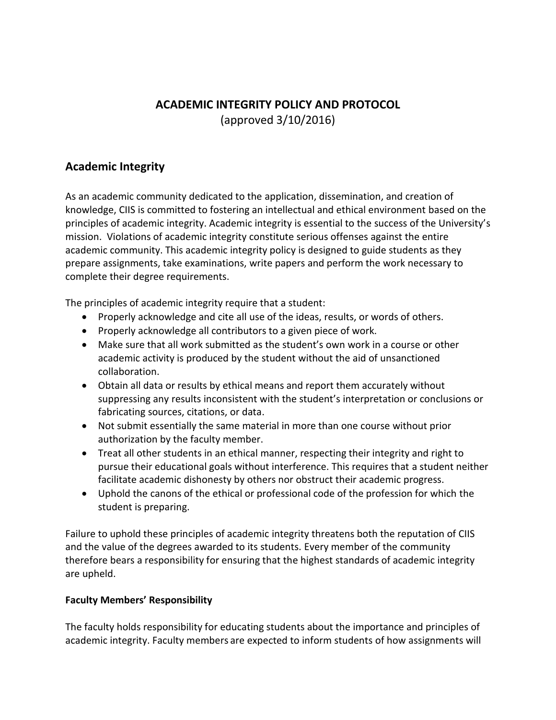# **ACADEMIC INTEGRITY POLICY AND PROTOCOL** (approved 3/10/2016)

### **Academic Integrity**

As an academic community dedicated to the application, dissemination, and creation of knowledge, CIIS is committed to fostering an intellectual and ethical environment based on the principles of academic integrity. Academic integrity is essential to the success of the University's mission. Violations of academic integrity constitute serious offenses against the entire academic community. This academic integrity policy is designed to guide students as they prepare assignments, take examinations, write papers and perform the work necessary to complete their degree requirements.

The principles of academic integrity require that a student:

- Properly acknowledge and cite all use of the ideas, results, or words of others.
- Properly acknowledge all contributors to a given piece of work.
- Make sure that all work submitted as the student's own work in a course or other academic activity is produced by the student without the aid of unsanctioned collaboration.
- Obtain all data or results by ethical means and report them accurately without suppressing any results inconsistent with the student's interpretation or conclusions or fabricating sources, citations, or data.
- Not submit essentially the same material in more than one course without prior authorization by the faculty member.
- Treat all other students in an ethical manner, respecting their integrity and right to pursue their educational goals without interference. This requires that a student neither facilitate academic dishonesty by others nor obstruct their academic progress.
- Uphold the canons of the ethical or professional code of the profession for which the student is preparing.

Failure to uphold these principles of academic integrity threatens both the reputation of CIIS and the value of the degrees awarded to its students. Every member of the community therefore bears a responsibility for ensuring that the highest standards of academic integrity are upheld.

#### **Faculty Members' Responsibility**

The faculty holds responsibility for educating students about the importance and principles of academic integrity. Faculty members are expected to inform students of how assignments will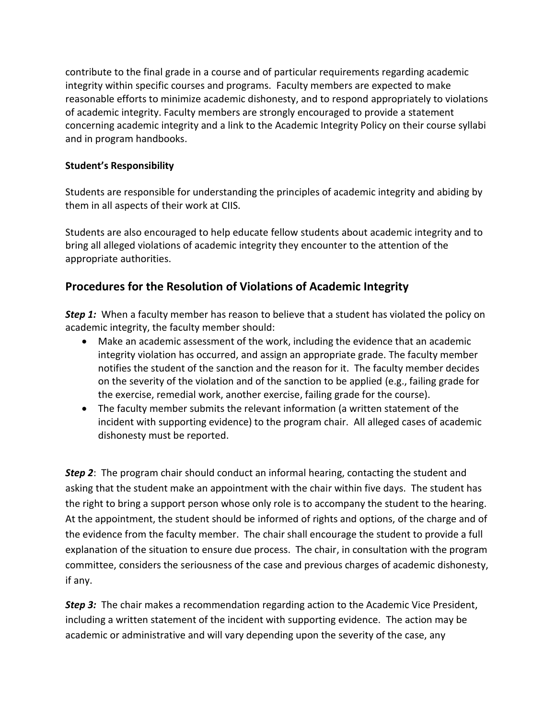contribute to the final grade in a course and of particular requirements regarding academic integrity within specific courses and programs. Faculty members are expected to make reasonable efforts to minimize academic dishonesty, and to respond appropriately to violations of academic integrity. Faculty members are strongly encouraged to provide a statement concerning academic integrity and a link to the Academic Integrity Policy on their course syllabi and in program handbooks.

#### **Student's Responsibility**

Students are responsible for understanding the principles of academic integrity and abiding by them in all aspects of their work at CIIS.

Students are also encouraged to help educate fellow students about academic integrity and to bring all alleged violations of academic integrity they encounter to the attention of the appropriate authorities.

## **Procedures for the Resolution of Violations of Academic Integrity**

**Step 1:** When a faculty member has reason to believe that a student has violated the policy on academic integrity, the faculty member should:

- Make an academic assessment of the work, including the evidence that an academic integrity violation has occurred, and assign an appropriate grade. The faculty member notifies the student of the sanction and the reason for it. The faculty member decides on the severity of the violation and of the sanction to be applied (e.g., failing grade for the exercise, remedial work, another exercise, failing grade for the course).
- The faculty member submits the relevant information (a written statement of the incident with supporting evidence) to the program chair. All alleged cases of academic dishonesty must be reported.

*Step 2*: The program chair should conduct an informal hearing, contacting the student and asking that the student make an appointment with the chair within five days. The student has the right to bring a support person whose only role is to accompany the student to the hearing. At the appointment, the student should be informed of rights and options, of the charge and of the evidence from the faculty member. The chair shall encourage the student to provide a full explanation of the situation to ensure due process. The chair, in consultation with the program committee, considers the seriousness of the case and previous charges of academic dishonesty, if any.

*Step 3:* The chair makes a recommendation regarding action to the Academic Vice President, including a written statement of the incident with supporting evidence. The action may be academic or administrative and will vary depending upon the severity of the case, any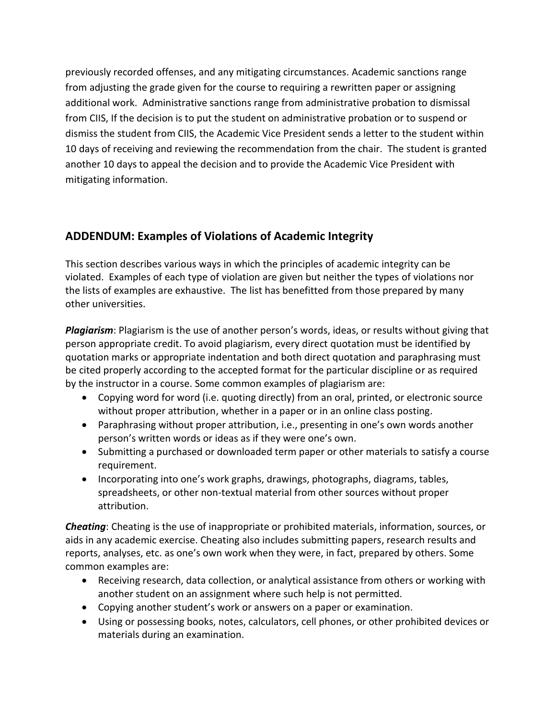previously recorded offenses, and any mitigating circumstances. Academic sanctions range from adjusting the grade given for the course to requiring a rewritten paper or assigning additional work. Administrative sanctions range from administrative probation to dismissal from CIIS, If the decision is to put the student on administrative probation or to suspend or dismiss the student from CIIS, the Academic Vice President sends a letter to the student within 10 days of receiving and reviewing the recommendation from the chair. The student is granted another 10 days to appeal the decision and to provide the Academic Vice President with mitigating information.

## **ADDENDUM: Examples of Violations of Academic Integrity**

This section describes various ways in which the principles of academic integrity can be violated. Examples of each type of violation are given but neither the types of violations nor the lists of examples are exhaustive. The list has benefitted from those prepared by many other universities.

*Plagiarism*: Plagiarism is the use of another person's words, ideas, or results without giving that person appropriate credit. To avoid plagiarism, every direct quotation must be identified by quotation marks or appropriate indentation and both direct quotation and paraphrasing must be cited properly according to the accepted format for the particular discipline or as required by the instructor in a course. Some common examples of plagiarism are:

- Copying word for word (i.e. quoting directly) from an oral, printed, or electronic source without proper attribution, whether in a paper or in an online class posting.
- Paraphrasing without proper attribution, i.e., presenting in one's own words another person's written words or ideas as if they were one's own.
- Submitting a purchased or downloaded term paper or other materials to satisfy a course requirement.
- Incorporating into one's work graphs, drawings, photographs, diagrams, tables, spreadsheets, or other non-textual material from other sources without proper attribution.

*Cheating*: Cheating is the use of inappropriate or prohibited materials, information, sources, or aids in any academic exercise. Cheating also includes submitting papers, research results and reports, analyses, etc. as one's own work when they were, in fact, prepared by others. Some common examples are:

- Receiving research, data collection, or analytical assistance from others or working with another student on an assignment where such help is not permitted.
- Copying another student's work or answers on a paper or examination.
- Using or possessing books, notes, calculators, cell phones, or other prohibited devices or materials during an examination.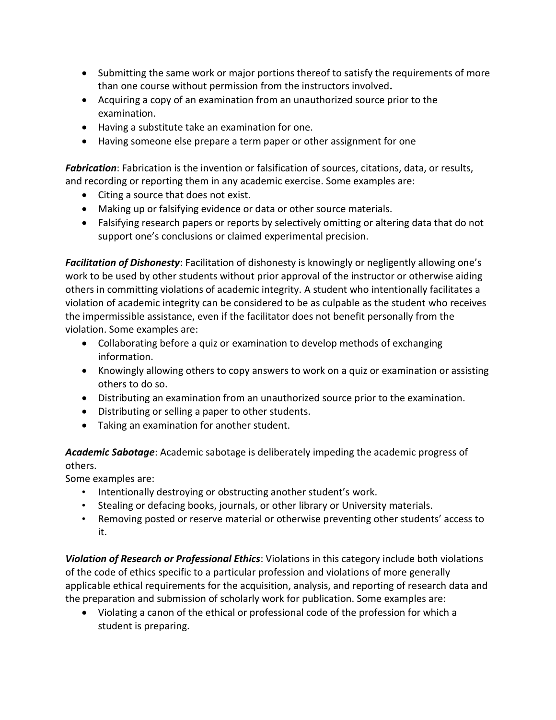- Submitting the same work or major portions thereof to satisfy the requirements of more than one course without permission from the instructors involved**.**
- Acquiring a copy of an examination from an unauthorized source prior to the examination.
- Having a substitute take an examination for one.
- Having someone else prepare a term paper or other assignment for one

*Fabrication*: Fabrication is the invention or falsification of sources, citations, data, or results, and recording or reporting them in any academic exercise. Some examples are:

- Citing a source that does not exist.
- Making up or falsifying evidence or data or other source materials.
- Falsifying research papers or reports by selectively omitting or altering data that do not support one's conclusions or claimed experimental precision.

*Facilitation of Dishonesty*: Facilitation of dishonesty is knowingly or negligently allowing one's work to be used by other students without prior approval of the instructor or otherwise aiding others in committing violations of academic integrity. A student who intentionally facilitates a violation of academic integrity can be considered to be as culpable as the student who receives the impermissible assistance, even if the facilitator does not benefit personally from the violation. Some examples are:

- Collaborating before a quiz or examination to develop methods of exchanging information.
- Knowingly allowing others to copy answers to work on a quiz or examination or assisting others to do so.
- Distributing an examination from an unauthorized source prior to the examination.
- Distributing or selling a paper to other students.
- Taking an examination for another student.

*Academic Sabotage*: Academic sabotage is deliberately impeding the academic progress of others.

Some examples are:

- Intentionally destroying or obstructing another student's work.
- Stealing or defacing books, journals, or other library or University materials.
- Removing posted or reserve material or otherwise preventing other students' access to it.

*Violation of Research or Professional Ethics*: Violations in this category include both violations of the code of ethics specific to a particular profession and violations of more generally applicable ethical requirements for the acquisition, analysis, and reporting of research data and the preparation and submission of scholarly work for publication. Some examples are:

 Violating a canon of the ethical or professional code of the profession for which a student is preparing.